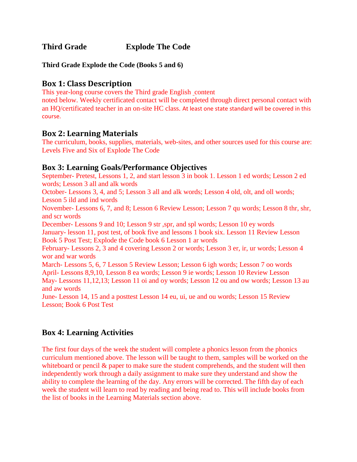**Third Grade Explode The Code**

**Third Grade Explode the Code (Books 5 and 6)**

#### **Box 1: Class Description**

This year-long course covers the Third grade English content

noted below. Weekly certificated contact will be completed through direct personal contact with an HQ/certificated teacher in an on-site HC class. At least one state standard will be covered in this course.

### **Box 2: Learning Materials**

The curriculum, books, supplies, materials, web-sites, and other sources used for this course are: Levels Five and Six of Explode The Code

### **Box 3: Learning Goals/Performance Objectives**

September- Pretest, Lessons 1, 2, and start lesson 3 in book 1. Lesson 1 ed words; Lesson 2 ed words; Lesson 3 all and alk words

October- Lessons 3, 4, and 5; Lesson 3 all and alk words; Lesson 4 old, olt, and oll words; Lesson 5 ild and ind words

November- Lessons 6, 7, and 8; Lesson 6 Review Lesson; Lesson 7 qu words; Lesson 8 thr, shr, and scr words

December- Lessons 9 and 10; Lesson 9 str ,spr, and spl words; Lesson 10 ey words January- lesson 11, post test, of book five and lessons 1 book six. Lesson 11 Review Lesson Book 5 Post Test; Explode the Code book 6 Lesson 1 ar words

February- Lessons 2, 3 and 4 covering Lesson 2 or words; Lesson 3 er, ir, ur words; Lesson 4 wor and war words

March- Lessons 5, 6, 7 Lesson 5 Review Lesson; Lesson 6 igh words; Lesson 7 oo words April- Lessons 8,9,10, Lesson 8 ea words; Lesson 9 ie words; Lesson 10 Review Lesson May- Lessons 11,12,13; Lesson 11 oi and oy words; Lesson 12 ou and ow words; Lesson 13 au and aw words

June- Lesson 14, 15 and a posttest Lesson 14 eu, ui, ue and ou words; Lesson 15 Review Lesson; Book 6 Post Test

# **Box 4: Learning Activities**

The first four days of the week the student will complete a phonics lesson from the phonics curriculum mentioned above. The lesson will be taught to them, samples will be worked on the whiteboard or pencil  $\&$  paper to make sure the student comprehends, and the student will then independently work through a daily assignment to make sure they understand and show the ability to complete the learning of the day. Any errors will be corrected. The fifth day of each week the student will learn to read by reading and being read to. This will include books from the list of books in the Learning Materials section above.